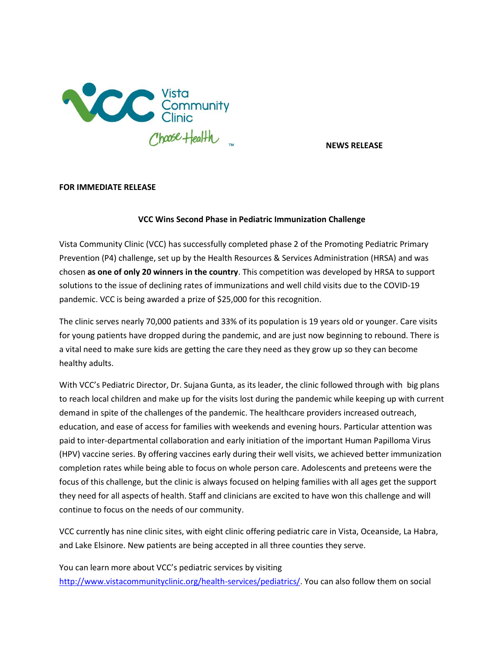

**NEWS RELEASE**

## **FOR IMMEDIATE RELEASE**

## **VCC Wins Second Phase in Pediatric Immunization Challenge**

Vista Community Clinic (VCC) has successfully completed phase 2 of the Promoting Pediatric Primary Prevention (P4) challenge, set up by the Health Resources & Services Administration (HRSA) and was chosen **as one of only 20 winners in the country**. This competition was developed by HRSA to support solutions to the issue of declining rates of immunizations and well child visits due to the COVID-19 pandemic. VCC is being awarded a prize of \$25,000 for this recognition.

The clinic serves nearly 70,000 patients and 33% of its population is 19 years old or younger. Care visits for young patients have dropped during the pandemic, and are just now beginning to rebound. There is a vital need to make sure kids are getting the care they need as they grow up so they can become healthy adults.

With VCC's Pediatric Director, Dr. Sujana Gunta, as its leader, the clinic followed through with big plans to reach local children and make up for the visits lost during the pandemic while keeping up with current demand in spite of the challenges of the pandemic. The healthcare providers increased outreach, education, and ease of access for families with weekends and evening hours. Particular attention was paid to inter-departmental collaboration and early initiation of the important Human Papilloma Virus (HPV) vaccine series. By offering vaccines early during their well visits, we achieved better immunization completion rates while being able to focus on whole person care. Adolescents and preteens were the focus of this challenge, but the clinic is always focused on helping families with all ages get the support they need for all aspects of health. Staff and clinicians are excited to have won this challenge and will continue to focus on the needs of our community.

VCC currently has nine clinic sites, with eight clinic offering pediatric care in Vista, Oceanside, La Habra, and Lake Elsinore. New patients are being accepted in all three counties they serve.

You can learn more about VCC's pediatric services by visiting [http://www.vistacommunityclinic.org/health-services/pediatrics/.](http://www.vistacommunityclinic.org/health-services/pediatrics/) You can also follow them on social